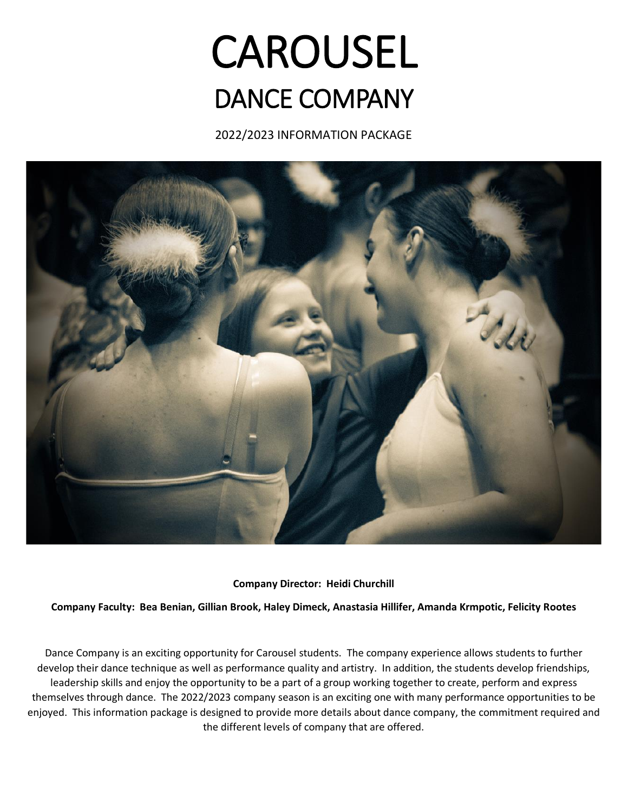# CAROUSEL DANCE COMPANY

2022/2023 INFORMATION PACKAGE



**Company Director: Heidi Churchill** 

**Company Faculty: Bea Benian, Gillian Brook, Haley Dimeck, Anastasia Hillifer, Amanda Krmpotic, Felicity Rootes**

Dance Company is an exciting opportunity for Carousel students. The company experience allows students to further develop their dance technique as well as performance quality and artistry. In addition, the students develop friendships, leadership skills and enjoy the opportunity to be a part of a group working together to create, perform and express themselves through dance. The 2022/2023 company season is an exciting one with many performance opportunities to be enjoyed. This information package is designed to provide more details about dance company, the commitment required and the different levels of company that are offered.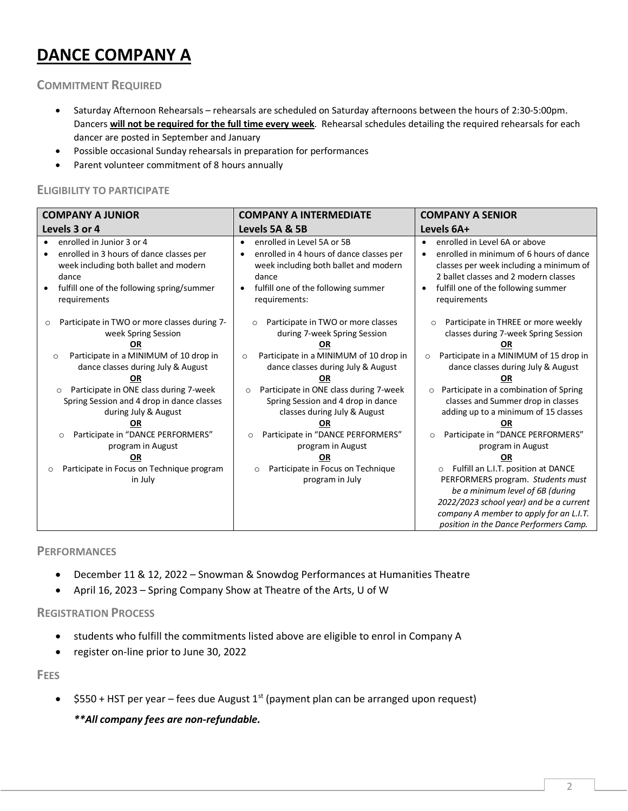# **DANCE COMPANY A**

**COMMITMENT REQUIRED**

- Saturday Afternoon Rehearsals rehearsals are scheduled on Saturday afternoons between the hours of 2:30-5:00pm. Dancers **will not be required for the full time every week**. Rehearsal schedules detailing the required rehearsals for each dancer are posted in September and January
- Possible occasional Sunday rehearsals in preparation for performances
- Parent volunteer commitment of 8 hours annually

# **ELIGIBILITY TO PARTICIPATE**

| <b>COMPANY A JUNIOR</b>                                                                                                                                                                                                                                                                                                                                                                                                                                         | <b>COMPANY A INTERMEDIATE</b>                                                                                                                                                                                                                                                                                                                                                                                                                                 | <b>COMPANY A SENIOR</b>                                                                                                                                                                                                                                                                                                                                                                                                                                                                                                                                                                  |
|-----------------------------------------------------------------------------------------------------------------------------------------------------------------------------------------------------------------------------------------------------------------------------------------------------------------------------------------------------------------------------------------------------------------------------------------------------------------|---------------------------------------------------------------------------------------------------------------------------------------------------------------------------------------------------------------------------------------------------------------------------------------------------------------------------------------------------------------------------------------------------------------------------------------------------------------|------------------------------------------------------------------------------------------------------------------------------------------------------------------------------------------------------------------------------------------------------------------------------------------------------------------------------------------------------------------------------------------------------------------------------------------------------------------------------------------------------------------------------------------------------------------------------------------|
| Levels 3 or 4                                                                                                                                                                                                                                                                                                                                                                                                                                                   | Levels 5A & 5B                                                                                                                                                                                                                                                                                                                                                                                                                                                | Levels 6A+                                                                                                                                                                                                                                                                                                                                                                                                                                                                                                                                                                               |
| enrolled in Junior 3 or 4<br>enrolled in 3 hours of dance classes per<br>week including both ballet and modern<br>dance<br>fulfill one of the following spring/summer<br>requirements                                                                                                                                                                                                                                                                           | enrolled in Level 5A or 5B<br>$\bullet$<br>enrolled in 4 hours of dance classes per<br>$\bullet$<br>week including both ballet and modern<br>dance<br>fulfill one of the following summer<br>$\bullet$<br>requirements:                                                                                                                                                                                                                                       | enrolled in Level 6A or above<br>enrolled in minimum of 6 hours of dance<br>$\bullet$<br>classes per week including a minimum of<br>2 ballet classes and 2 modern classes<br>fulfill one of the following summer<br>$\bullet$<br>requirements                                                                                                                                                                                                                                                                                                                                            |
| Participate in TWO or more classes during 7-<br>$\circ$<br>week Spring Session<br><b>OR</b><br>Participate in a MINIMUM of 10 drop in<br>$\circ$<br>dance classes during July & August<br>Participate in ONE class during 7-week<br>$\circ$<br>Spring Session and 4 drop in dance classes<br>during July & August<br>ΟR<br>Participate in "DANCE PERFORMERS"<br>O<br>program in August<br>ΟR<br>Participate in Focus on Technique program<br>$\circ$<br>in July | Participate in TWO or more classes<br>$\circ$<br>during 7-week Spring Session<br>ΟR<br>Participate in a MINIMUM of 10 drop in<br>$\circ$<br>dance classes during July & August<br>Participate in ONE class during 7-week<br>$\circ$<br>Spring Session and 4 drop in dance<br>classes during July & August<br>ΟR<br>Participate in "DANCE PERFORMERS"<br>$\circ$<br>program in August<br>ΟR<br>Participate in Focus on Technique<br>$\circ$<br>program in July | Participate in THREE or more weekly<br>$\Omega$<br>classes during 7-week Spring Session<br>ΟR<br>Participate in a MINIMUM of 15 drop in<br>$\circ$<br>dance classes during July & August<br>ΟR<br>Participate in a combination of Spring<br>$\circ$<br>classes and Summer drop in classes<br>adding up to a minimum of 15 classes<br>ΟR<br>Participate in "DANCE PERFORMERS"<br>$\circ$<br>program in August<br>ΟR<br>Fulfill an L.I.T. position at DANCE<br>$\circ$<br>PERFORMERS program. Students must<br>be a minimum level of 6B (during<br>2022/2023 school year) and be a current |
|                                                                                                                                                                                                                                                                                                                                                                                                                                                                 |                                                                                                                                                                                                                                                                                                                                                                                                                                                               | company A member to apply for an L.I.T.<br>position in the Dance Performers Camp.                                                                                                                                                                                                                                                                                                                                                                                                                                                                                                        |

# **PERFORMANCES**

- December 11 & 12, 2022 Snowman & Snowdog Performances at Humanities Theatre
- April 16, 2023 Spring Company Show at Theatre of the Arts, U of W

# **REGISTRATION PROCESS**

- students who fulfill the commitments listed above are eligible to enrol in Company A
- register on-line prior to June 30, 2022

**FEES** 

•  $$550 + HST$  per year – fees due August 1<sup>st</sup> (payment plan can be arranged upon request) *\*\*All company fees are non-refundable.*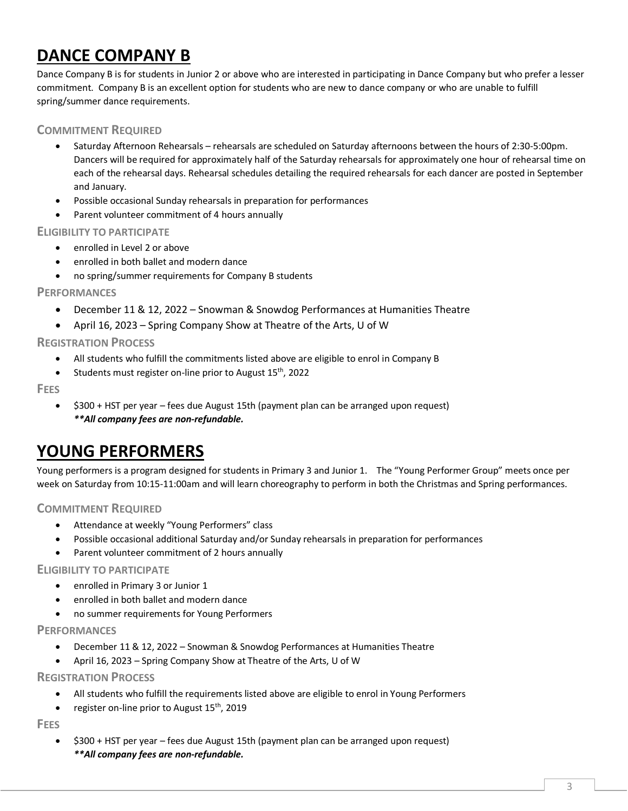# **DANCE COMPANY B**

Dance Company B is for students in Junior 2 or above who are interested in participating in Dance Company but who prefer a lesser commitment. Company B is an excellent option for students who are new to dance company or who are unable to fulfill spring/summer dance requirements.

# **COMMITMENT REQUIRED**

- Saturday Afternoon Rehearsals rehearsals are scheduled on Saturday afternoons between the hours of 2:30-5:00pm. Dancers will be required for approximately half of the Saturday rehearsals for approximately one hour of rehearsal time on each of the rehearsal days. Rehearsal schedules detailing the required rehearsals for each dancer are posted in September and January.
- Possible occasional Sunday rehearsals in preparation for performances
- Parent volunteer commitment of 4 hours annually

# **ELIGIBILITY TO PARTICIPATE**

- enrolled in Level 2 or above
- enrolled in both ballet and modern dance
- no spring/summer requirements for Company B students

# **PERFORMANCES**

- December 11 & 12, 2022 Snowman & Snowdog Performances at Humanities Theatre
- April 16, 2023 Spring Company Show at Theatre of the Arts, U of W

# **REGISTRATION PROCESS**

- All students who fulfill the commitments listed above are eligible to enrol in Company B
- Students must register on-line prior to August 15<sup>th</sup>, 2022

# **FEES**

• \$300 + HST per year – fees due August 15th (payment plan can be arranged upon request) *\*\*All company fees are non-refundable.*

# **YOUNG PERFORMERS**

Young performers is a program designed for students in Primary 3 and Junior 1. The "Young Performer Group" meets once per week on Saturday from 10:15-11:00am and will learn choreography to perform in both the Christmas and Spring performances.

# **COMMITMENT REQUIRED**

- Attendance at weekly "Young Performers" class
- Possible occasional additional Saturday and/or Sunday rehearsals in preparation for performances
- Parent volunteer commitment of 2 hours annually

# **ELIGIBILITY TO PARTICIPATE**

- enrolled in Primary 3 or Junior 1
- enrolled in both ballet and modern dance
- no summer requirements for Young Performers

# **PERFORMANCES**

- December 11 & 12, 2022 Snowman & Snowdog Performances at Humanities Theatre
- April 16, 2023 Spring Company Show at Theatre of the Arts, U of W

# **REGISTRATION PROCESS**

- All students who fulfill the requirements listed above are eligible to enrol in Young Performers
- register on-line prior to August 15<sup>th</sup>, 2019

**FEES** 

• \$300 + HST per year – fees due August 15th (payment plan can be arranged upon request) *\*\*All company fees are non-refundable.*